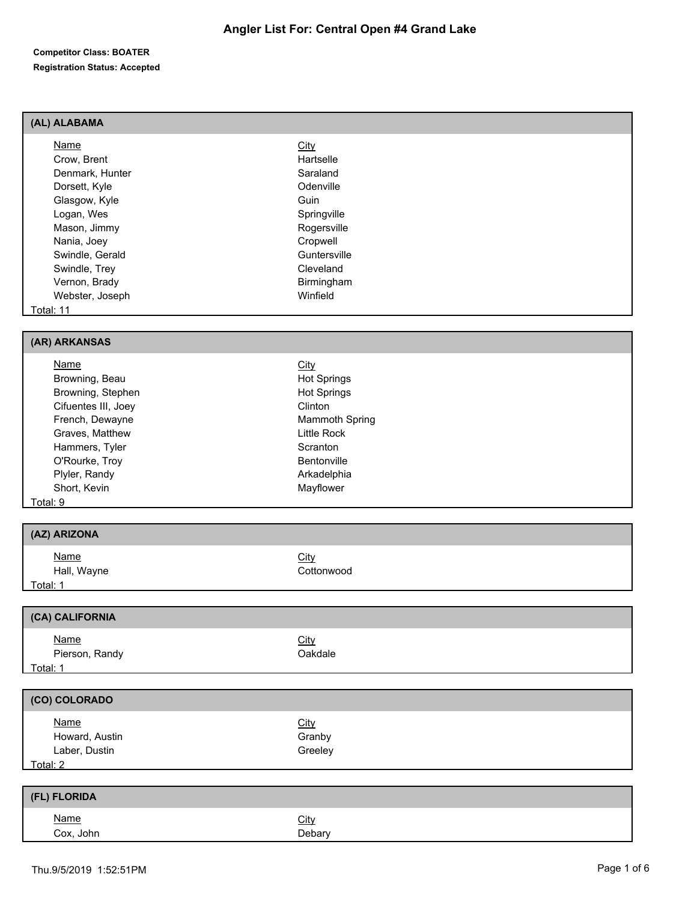## **(AL) ALABAMA**

| Name            | <b>City</b>  |  |
|-----------------|--------------|--|
| Crow, Brent     | Hartselle    |  |
| Denmark, Hunter | Saraland     |  |
| Dorsett, Kyle   | Odenville    |  |
| Glasgow, Kyle   | Guin         |  |
| Logan, Wes      | Springville  |  |
| Mason, Jimmy    | Rogersville  |  |
| Nania, Joey     | Cropwell     |  |
| Swindle, Gerald | Guntersville |  |
| Swindle, Trey   | Cleveland    |  |
| Vernon, Brady   | Birmingham   |  |
| Webster, Joseph | Winfield     |  |
| Total: 11       |              |  |

#### **(AR) ARKANSAS**

| Name                | <b>City</b>           |  |
|---------------------|-----------------------|--|
| Browning, Beau      | <b>Hot Springs</b>    |  |
| Browning, Stephen   | <b>Hot Springs</b>    |  |
| Cifuentes III, Joey | Clinton               |  |
| French, Dewayne     | <b>Mammoth Spring</b> |  |
| Graves, Matthew     | Little Rock           |  |
| Hammers, Tyler      | Scranton              |  |
| O'Rourke, Troy      | Bentonville           |  |
| Plyler, Randy       | Arkadelphia           |  |
| Short, Kevin        | Mayflower             |  |
| Total: 9            |                       |  |

## **(AZ) ARIZONA**

| <u>Name</u> | City       |
|-------------|------------|
| Hall, Wayne | Cottonwood |
| Total: 1    |            |

| (CA) CALIFORNIA               |                        |
|-------------------------------|------------------------|
| <u>Name</u><br>Pierson, Randy | <b>City</b><br>Oakdale |
| Total: 1                      |                        |

## **(CO) COLORADO**

| <b>Name</b>    | <u>City</u> |  |
|----------------|-------------|--|
| Howard, Austin | Granby      |  |
| Laber, Dustin  | Greeley     |  |
| Total: 2       |             |  |

| (FL) FLORIDA |             |
|--------------|-------------|
| <u>Name</u>  | <b>City</b> |
| Cox, John    | Debary      |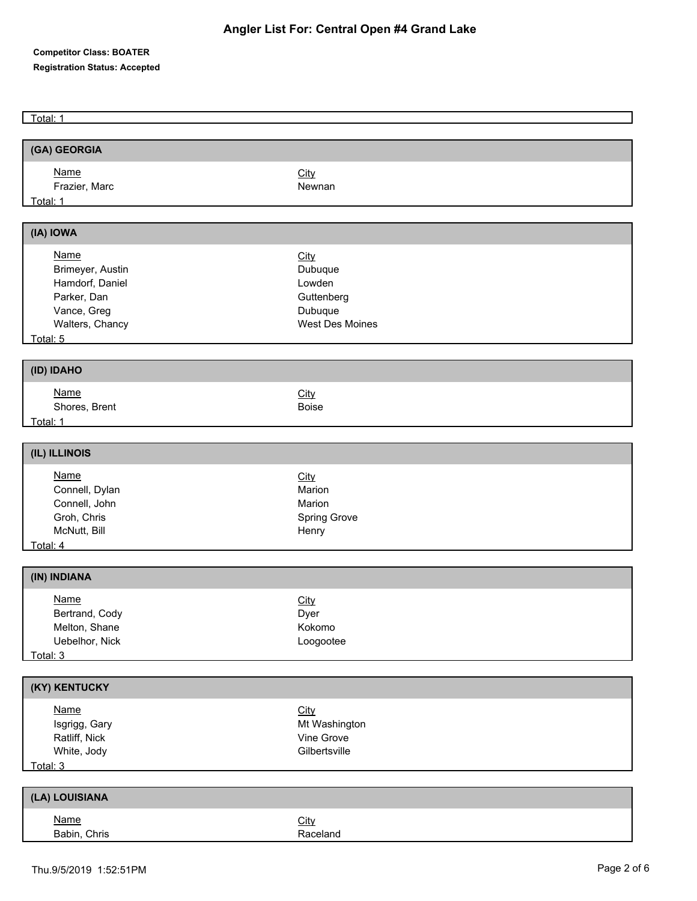Total: 1

| (GA) GEORGIA     |                 |  |
|------------------|-----------------|--|
| <b>Name</b>      | City            |  |
| Frazier, Marc    | Newnan          |  |
| Total: 1         |                 |  |
|                  |                 |  |
| (IA) IOWA        |                 |  |
| <b>Name</b>      | City            |  |
| Brimeyer, Austin | Dubuque         |  |
| Hamdorf, Daniel  | Lowden          |  |
| Parker, Dan      | Guttenberg      |  |
| Vance, Greg      | Dubuque         |  |
| Walters, Chancy  | West Des Moines |  |
| Total: 5         |                 |  |
|                  |                 |  |
| (ID) IDAHO       |                 |  |
| <b>Name</b>      | City            |  |
| Shores, Brent    | <b>Boise</b>    |  |
| Total: 1         |                 |  |
|                  |                 |  |
| (IL) ILLINOIS    |                 |  |
| <b>Name</b>      | City            |  |
| Connell, Dylan   | Marion          |  |
| Connell, John    | Marion          |  |
| Groh, Chris      | Spring Grove    |  |
| McNutt, Bill     | Henry           |  |
| Total: 4         |                 |  |
| (IN) INDIANA     |                 |  |
|                  |                 |  |
| <b>Name</b>      | City            |  |
| Bertrand, Cody   | Dyer            |  |
| Melton, Shane    | Kokomo          |  |
| Uebelhor, Nick   | Loogootee       |  |
| Total: 3         |                 |  |
| (KY) KENTUCKY    |                 |  |
| <b>Name</b>      | City            |  |
| Isgrigg, Gary    | Mt Washington   |  |
| Ratliff, Nick    | Vine Grove      |  |
| White, Jody      | Gilbertsville   |  |
| Total: 3         |                 |  |
|                  |                 |  |
| (LA) LOUISIANA   |                 |  |
| <b>Name</b>      | City            |  |
| Babin, Chris     | Raceland        |  |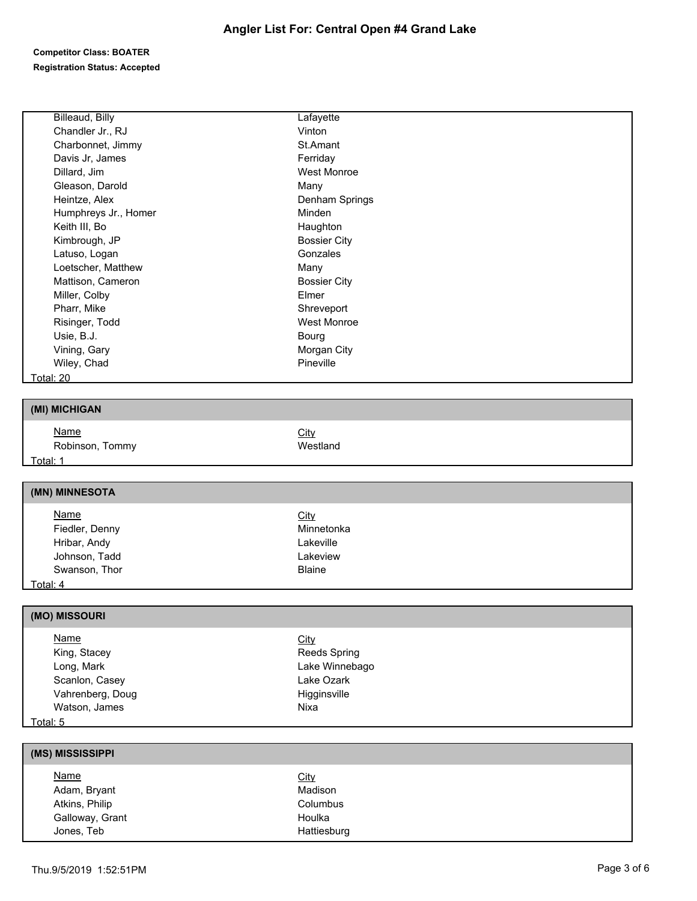| Billeaud, Billy              | Lafayette                   |  |
|------------------------------|-----------------------------|--|
| Chandler Jr., RJ             | Vinton                      |  |
| Charbonnet, Jimmy            | St.Amant                    |  |
| Davis Jr, James              | Ferriday                    |  |
| Dillard, Jim                 | <b>West Monroe</b>          |  |
| Gleason, Darold              | Many                        |  |
| Heintze, Alex                | Denham Springs              |  |
| Humphreys Jr., Homer         | Minden                      |  |
| Keith III, Bo                | Haughton                    |  |
| Kimbrough, JP                | <b>Bossier City</b>         |  |
| Latuso, Logan                | Gonzales                    |  |
| Loetscher, Matthew           | Many                        |  |
| Mattison, Cameron            | <b>Bossier City</b>         |  |
| Miller, Colby                | Elmer                       |  |
| Pharr, Mike                  | Shreveport                  |  |
| Risinger, Todd               | West Monroe                 |  |
| Usie, B.J.                   | Bourg                       |  |
| Vining, Gary                 | Morgan City                 |  |
| Wiley, Chad                  | Pineville                   |  |
| <b>Total: 20</b>             |                             |  |
|                              |                             |  |
| (MI) MICHIGAN                |                             |  |
| <b>Name</b>                  | City                        |  |
| Robinson, Tommy              | Westland                    |  |
| Total: 1                     |                             |  |
|                              |                             |  |
| (MN) MINNESOTA               |                             |  |
| <b>Name</b>                  | City                        |  |
| Fiedler, Denny               | Minnetonka                  |  |
| Hribar, Andy                 | Lakeville                   |  |
| Johnson, Tadd                | Lakeview                    |  |
| Swanson, Thor                | <b>Blaine</b>               |  |
|                              |                             |  |
|                              |                             |  |
| <u>Total: 4</u>              |                             |  |
|                              |                             |  |
| (MO) MISSOURI<br><b>Name</b> |                             |  |
| King, Stacey                 | City<br><b>Reeds Spring</b> |  |

Scanlon, Casey **Lake Ozark** Vahrenberg, Doug and Higginsville Watson, James Nixa

## Total: 5

| (MS) MISSISSIPPI |             |  |
|------------------|-------------|--|
| <b>Name</b>      | <b>City</b> |  |
| Adam, Bryant     | Madison     |  |
| Atkins, Philip   | Columbus    |  |
| Galloway, Grant  | Houlka      |  |
| Jones, Teb       | Hattiesburg |  |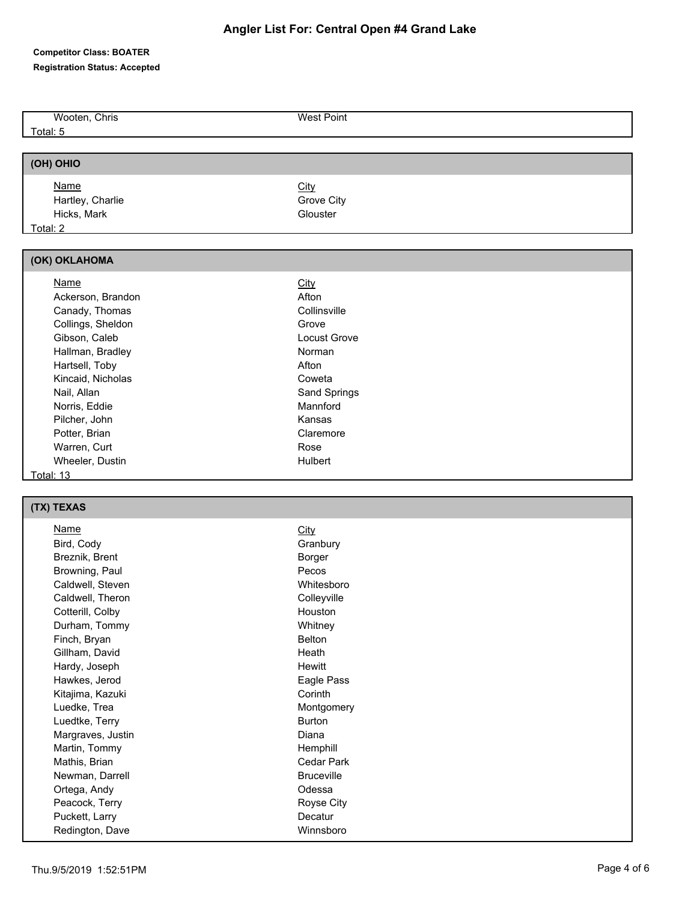# **Angler List For: Central Open #4 Grand Lake**

### **Competitor Class: BOATER Registration Status: Accepted**

| Wooten, Chris    | <b>West Point</b> |  |
|------------------|-------------------|--|
| Total: 5         |                   |  |
|                  |                   |  |
| (OH) OHIO        |                   |  |
| <b>Name</b>      | <b>City</b>       |  |
| Hartley, Charlie | Grove City        |  |
| Hicks, Mark      | Glouster          |  |
| Total: 2         |                   |  |

| (OK) OKLAHOMA     |              |
|-------------------|--------------|
| <b>Name</b>       | <b>City</b>  |
| Ackerson, Brandon | Afton        |
| Canady, Thomas    | Collinsville |
| Collings, Sheldon | Grove        |
| Gibson, Caleb     | Locust Grove |
| Hallman, Bradley  | Norman       |
| Hartsell, Toby    | Afton        |
| Kincaid, Nicholas | Coweta       |
| Nail, Allan       | Sand Springs |
| Norris, Eddie     | Mannford     |
| Pilcher, John     | Kansas       |
| Potter, Brian     | Claremore    |
| Warren, Curt      | Rose         |
| Wheeler, Dustin   | Hulbert      |
| Total: 13         |              |

# **(TX) TEXAS**

| Name              | <b>City</b>       |
|-------------------|-------------------|
| Bird, Cody        | Granbury          |
| Breznik, Brent    | Borger            |
| Browning, Paul    | Pecos             |
| Caldwell, Steven  | Whitesboro        |
| Caldwell, Theron  | Colleyville       |
| Cotterill, Colby  | Houston           |
| Durham, Tommy     | Whitney           |
| Finch, Bryan      | <b>Belton</b>     |
| Gillham, David    | Heath             |
| Hardy, Joseph     | <b>Hewitt</b>     |
| Hawkes, Jerod     | Eagle Pass        |
| Kitajima, Kazuki  | Corinth           |
| Luedke, Trea      | Montgomery        |
| Luedtke, Terry    | <b>Burton</b>     |
| Margraves, Justin | Diana             |
| Martin, Tommy     | Hemphill          |
| Mathis, Brian     | Cedar Park        |
| Newman, Darrell   | <b>Bruceville</b> |
| Ortega, Andy      | Odessa            |
| Peacock, Terry    | Royse City        |
| Puckett, Larry    | Decatur           |
| Redington, Dave   | Winnsboro         |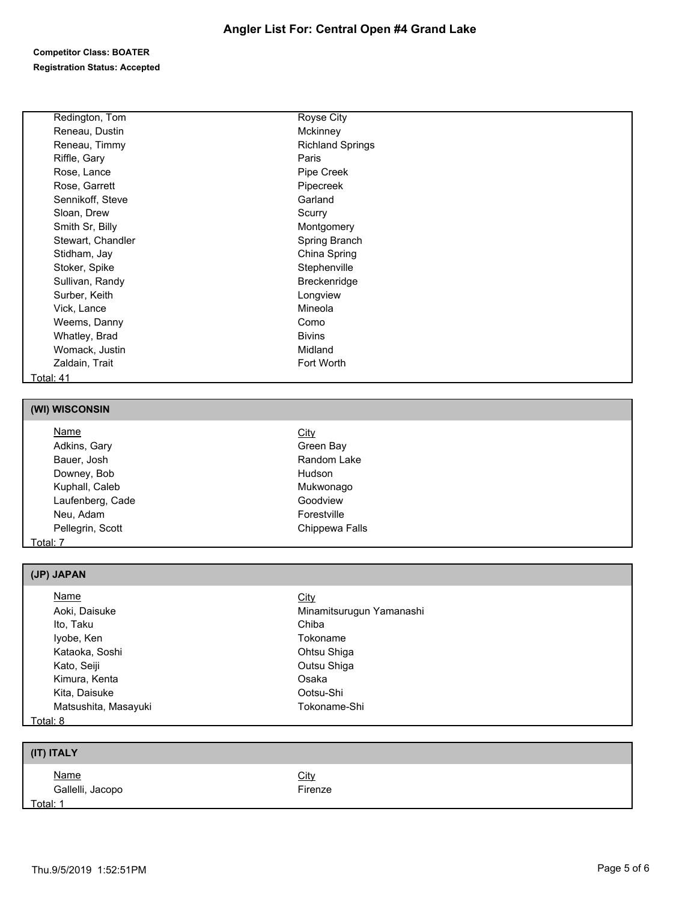| Redington, Tom    | Royse City              |
|-------------------|-------------------------|
| Reneau, Dustin    | Mckinney                |
| Reneau, Timmy     | <b>Richland Springs</b> |
| Riffle, Gary      | Paris                   |
| Rose, Lance       | Pipe Creek              |
| Rose, Garrett     | Pipecreek               |
| Sennikoff, Steve  | Garland                 |
| Sloan, Drew       | Scurry                  |
| Smith Sr, Billy   | Montgomery              |
| Stewart, Chandler | Spring Branch           |
| Stidham, Jay      | China Spring            |
| Stoker, Spike     | Stephenville            |
| Sullivan, Randy   | Breckenridge            |
| Surber, Keith     | Longview                |
| Vick, Lance       | Mineola                 |
| Weems, Danny      | Como                    |
| Whatley, Brad     | <b>Bivins</b>           |
| Womack, Justin    | Midland                 |
| Zaldain, Trait    | Fort Worth              |
| Total: 41         |                         |

## **(WI) WISCONSIN**

| <u>Name</u>      | <b>City</b>    |  |
|------------------|----------------|--|
| Adkins, Gary     | Green Bay      |  |
| Bauer, Josh      | Random Lake    |  |
| Downey, Bob      | Hudson         |  |
| Kuphall, Caleb   | Mukwonago      |  |
| Laufenberg, Cade | Goodview       |  |
| Neu, Adam        | Forestville    |  |
| Pellegrin, Scott | Chippewa Falls |  |
| Total: 7         |                |  |

## **(JP) JAPAN**

| Name                 | City                     |  |
|----------------------|--------------------------|--|
| Aoki, Daisuke        | Minamitsurugun Yamanashi |  |
| Ito, Taku            | Chiba                    |  |
| lyobe, Ken           | Tokoname                 |  |
| Kataoka, Soshi       | Ohtsu Shiga              |  |
| Kato, Seiji          | Outsu Shiga              |  |
| Kimura, Kenta        | Osaka                    |  |
| Kita, Daisuke        | Ootsu-Shi                |  |
| Matsushita, Masayuki | Tokoname-Shi             |  |
| Total: 8             |                          |  |

# **(IT) ITALY**

| <u>Name</u><br>Gallelli, Jacopo | City<br>$r$ irenze |
|---------------------------------|--------------------|
| Total: 1                        |                    |